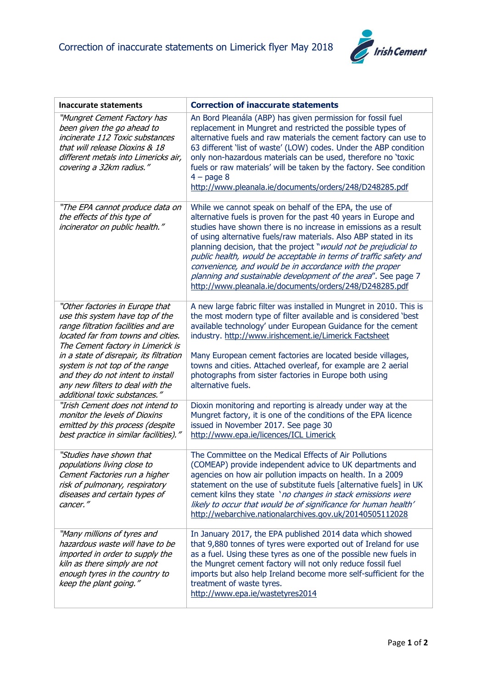

| <b>Inaccurate statements</b>                                                                                                                                                                                                                                                                                                                                                | <b>Correction of inaccurate statements</b>                                                                                                                                                                                                                                                                                                                                                                                                                                                                                                                                                        |
|-----------------------------------------------------------------------------------------------------------------------------------------------------------------------------------------------------------------------------------------------------------------------------------------------------------------------------------------------------------------------------|---------------------------------------------------------------------------------------------------------------------------------------------------------------------------------------------------------------------------------------------------------------------------------------------------------------------------------------------------------------------------------------------------------------------------------------------------------------------------------------------------------------------------------------------------------------------------------------------------|
| "Mungret Cement Factory has<br>been given the go ahead to<br>incinerate 112 Toxic substances<br>that will release Dioxins & 18<br>different metals into Limericks air,<br>covering a 32km radius."                                                                                                                                                                          | An Bord Pleanála (ABP) has given permission for fossil fuel<br>replacement in Mungret and restricted the possible types of<br>alternative fuels and raw materials the cement factory can use to<br>63 different 'list of waste' (LOW) codes. Under the ABP condition<br>only non-hazardous materials can be used, therefore no 'toxic<br>fuels or raw materials' will be taken by the factory. See condition<br>$4$ – page 8<br>http://www.pleanala.ie/documents/orders/248/D248285.pdf                                                                                                           |
| "The EPA cannot produce data on<br>the effects of this type of<br>incinerator on public health."                                                                                                                                                                                                                                                                            | While we cannot speak on behalf of the EPA, the use of<br>alternative fuels is proven for the past 40 years in Europe and<br>studies have shown there is no increase in emissions as a result<br>of using alternative fuels/raw materials. Also ABP stated in its<br>planning decision, that the project "would not be prejudicial to<br>public health, would be acceptable in terms of traffic safety and<br>convenience, and would be in accordance with the proper<br>planning and sustainable development of the area". See page 7<br>http://www.pleanala.ie/documents/orders/248/D248285.pdf |
| "Other factories in Europe that<br>use this system have top of the<br>range filtration facilities and are<br>located far from towns and cities.<br>The Cement factory in Limerick is<br>in a state of disrepair, its filtration<br>system is not top of the range<br>and they do not intent to install<br>any new filters to deal with the<br>additional toxic substances." | A new large fabric filter was installed in Mungret in 2010. This is<br>the most modern type of filter available and is considered 'best<br>available technology' under European Guidance for the cement<br>industry. http://www.irishcement.ie/Limerick Factsheet<br>Many European cement factories are located beside villages,<br>towns and cities. Attached overleaf, for example are 2 aerial<br>photographs from sister factories in Europe both using<br>alternative fuels.                                                                                                                 |
| "Irish Cement does not intend to<br>monitor the levels of Dioxins<br>emitted by this process (despite<br>best practice in similar facilities)."                                                                                                                                                                                                                             | Dioxin monitoring and reporting is already under way at the<br>Mungret factory, it is one of the conditions of the EPA licence<br>issued in November 2017. See page 30<br>http://www.epa.ie/licences/ICL Limerick                                                                                                                                                                                                                                                                                                                                                                                 |
| "Studies have shown that<br>populations living close to<br>Cement Factories run a higher<br>risk of pulmonary, respiratory<br>diseases and certain types of<br>cancer."                                                                                                                                                                                                     | The Committee on the Medical Effects of Air Pollutions<br>(COMEAP) provide independent advice to UK departments and<br>agencies on how air pollution impacts on health. In a 2009<br>statement on the use of substitute fuels [alternative fuels] in UK<br>cement kilns they state 'no changes in stack emissions were<br>likely to occur that would be of significance for human health'<br>http://webarchive.nationalarchives.gov.uk/20140505112028                                                                                                                                             |
| "Many millions of tyres and<br>hazardous waste will have to be<br>imported in order to supply the<br>kiln as there simply are not<br>enough tyres in the country to<br>keep the plant going."                                                                                                                                                                               | In January 2017, the EPA published 2014 data which showed<br>that 9,880 tonnes of tyres were exported out of Ireland for use<br>as a fuel. Using these tyres as one of the possible new fuels in<br>the Mungret cement factory will not only reduce fossil fuel<br>imports but also help Ireland become more self-sufficient for the<br>treatment of waste tyres.<br>http://www.epa.ie/wastetyres2014                                                                                                                                                                                             |